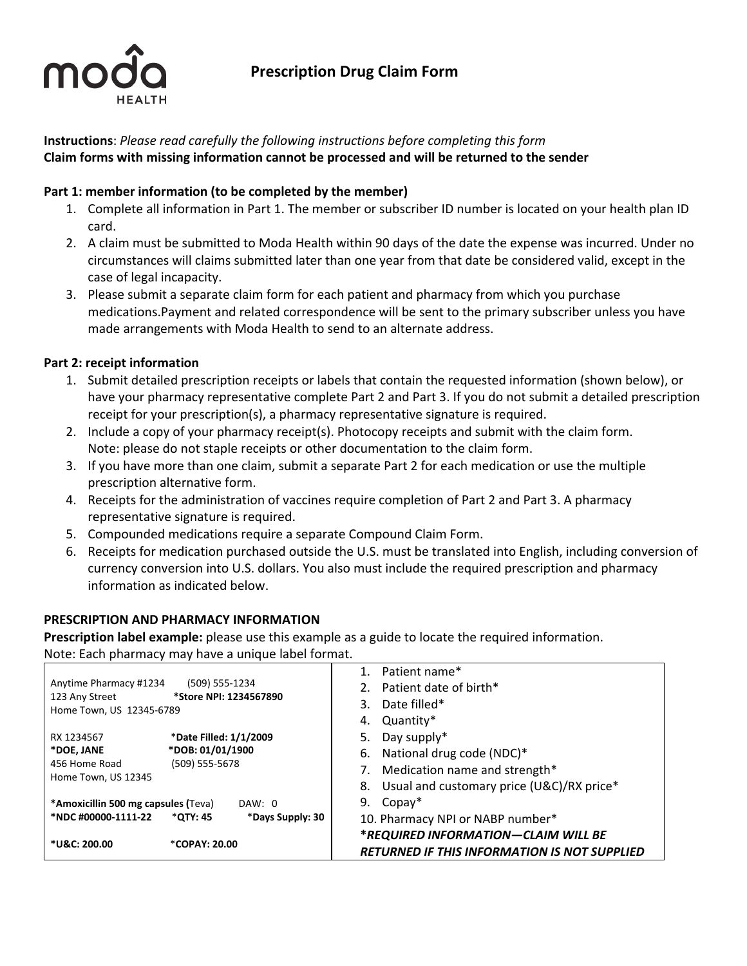

# **Prescription Drug Claim Form**

# **Instructions**: *Please read carefully the following instructions before completing this form* **Claim forms with missing information cannot be processed and will be returned to the sender**

# **Part 1: member information (to be completed by the member)**

- 1. Complete all information in Part 1. The member or subscriber ID number is located on your health plan ID card.
- 2. A claim must be submitted to Moda Health within 90 days of the date the expense was incurred. Under no circumstances will claims submitted later than one year from that date be considered valid, except in the case of legal incapacity.
- 3. Please submit a separate claim form for each patient and pharmacy from which you purchase medications.Payment and related correspondence will be sent to the primary subscriber unless you have made arrangements with Moda Health to send to an alternate address.

# **Part 2: receipt information**

- 1. Submit detailed prescription receipts or labels that contain the requested information (shown below), or have your pharmacy representative complete Part 2 and Part 3. If you do not submit a detailed prescription receipt for your prescription(s), a pharmacy representative signature is required.
- 2. Include a copy of your pharmacy receipt(s). Photocopy receipts and submit with the claim form. Note: please do not staple receipts or other documentation to the claim form.
- 3. If you have more than one claim, submit a separate Part 2 for each medication or use the multiple prescription alternative form.
- 4. Receipts for the administration of vaccines require completion of Part 2 and Part 3. A pharmacy representative signature is required.
- 5. Compounded medications require a separate Compound Claim Form.
- 6. Receipts for medication purchased outside the U.S. must be translated into English, including conversion of currency conversion into U.S. dollars. You also must include the required prescription and pharmacy information as indicated below.

# **PRESCRIPTION AND PHARMACY INFORMATION**

**Prescription label example:** please use this example as a guide to locate the required information. Note: Each pharmacy may have a unique label format.

|                                            |                                          | Patient name*                                   |
|--------------------------------------------|------------------------------------------|-------------------------------------------------|
| Anytime Pharmacy #1234                     | (509) 555-1234<br>*Store NPI: 1234567890 | 2. Patient date of birth*                       |
| 123 Any Street<br>Home Town, US 12345-6789 |                                          | Date filled*<br>3.                              |
|                                            |                                          | Quantity*<br>4.                                 |
| RX 1234567                                 | *Date Filled: 1/1/2009                   | 5.<br>Day supply*                               |
| *DOE, JANE                                 | *DOB: 01/01/1900                         | National drug code (NDC)*<br>6.                 |
| 456 Home Road<br>Home Town, US 12345       | (509) 555-5678                           | Medication name and strength*                   |
|                                            |                                          | Usual and customary price (U&C)/RX price*<br>8. |
| <b>*Amoxicillin 500 mg capsules (Teva)</b> | DAW: 0                                   | 9.<br>$Copy*$                                   |
| *NDC #00000-1111-22                        | *QTY: 45<br>*Days Supply: 30             | 10. Pharmacy NPI or NABP number*                |
|                                            |                                          | *REQUIRED INFORMATION-CLAIM WILL BE             |
| *U&C: 200.00                               | *COPAY: 20.00                            | RETURNED IF THIS INFORMATION IS NOT SUPPLIED    |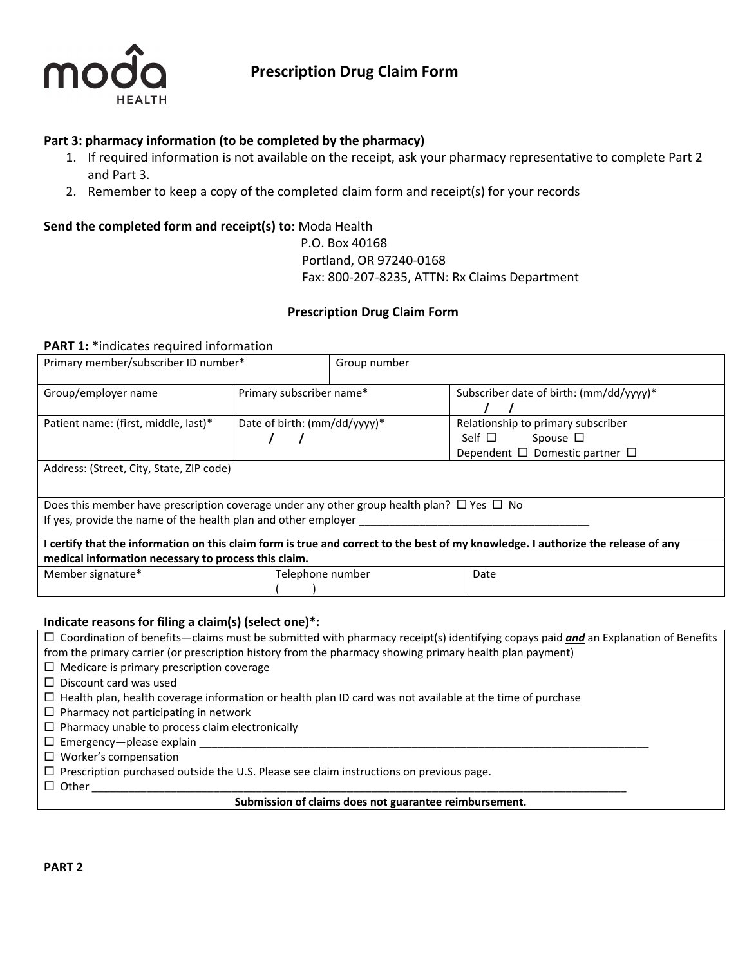

# **Part 3: pharmacy information (to be completed by the pharmacy)**

- 1. If required information is not available on the receipt, ask your pharmacy representative to complete Part 2 and Part 3.
- 2. Remember to keep a copy of the completed claim form and receipt(s) for your records

# **Send the completed form and receipt(s) to:** Moda Health

# P.O. Box 40168 Portland, OR 97240‐0168 Fax: 800‐207‐8235, ATTN: Rx Claims Department

# **Prescription Drug Claim Form**

## **PART 1:** \*indicates required information

| Primary member/subscriber ID number*                                                                                                                                  |                              | Group number |                                                                                                                                   |
|-----------------------------------------------------------------------------------------------------------------------------------------------------------------------|------------------------------|--------------|-----------------------------------------------------------------------------------------------------------------------------------|
| Group/employer name                                                                                                                                                   | Primary subscriber name*     |              | Subscriber date of birth: (mm/dd/yyyy)*                                                                                           |
| Patient name: (first, middle, last)*                                                                                                                                  | Date of birth: (mm/dd/yyyy)* |              | Relationship to primary subscriber<br>Self $\Box$<br>Spouse $\Box$<br>Dependent $\Box$ Domestic partner $\Box$                    |
| Address: (Street, City, State, ZIP code)                                                                                                                              |                              |              |                                                                                                                                   |
| Does this member have prescription coverage under any other group health plan? $\Box$ Yes $\Box$ No<br>If yes, provide the name of the health plan and other employer |                              |              |                                                                                                                                   |
| medical information necessary to process this claim.                                                                                                                  |                              |              | I certify that the information on this claim form is true and correct to the best of my knowledge. I authorize the release of any |
| Member signature*                                                                                                                                                     | Telephone number             |              | Date                                                                                                                              |

#### **Indicate reasons for filing a claim(s) (select one)\*:**

| $\Box$ Coordination of benefits—claims must be submitted with pharmacy receipt(s) identifying copays paid and an Explanation of Benefits |  |
|------------------------------------------------------------------------------------------------------------------------------------------|--|
| from the primary carrier (or prescription history from the pharmacy showing primary health plan payment)                                 |  |
| $\Box$ Medicare is primary prescription coverage                                                                                         |  |
| $\Box$ Discount card was used                                                                                                            |  |
| $\Box$ Health plan, health coverage information or health plan ID card was not available at the time of purchase                         |  |
| $\Box$ Pharmacy not participating in network                                                                                             |  |
| $\Box$ Pharmacy unable to process claim electronically                                                                                   |  |
| $\Box$ Emergency — please explain                                                                                                        |  |
| $\Box$ Worker's compensation                                                                                                             |  |
| $\Box$ Prescription purchased outside the U.S. Please see claim instructions on previous page.                                           |  |
| $\Box$ Other                                                                                                                             |  |
| Submission of claims does not guarantee reimbursement.                                                                                   |  |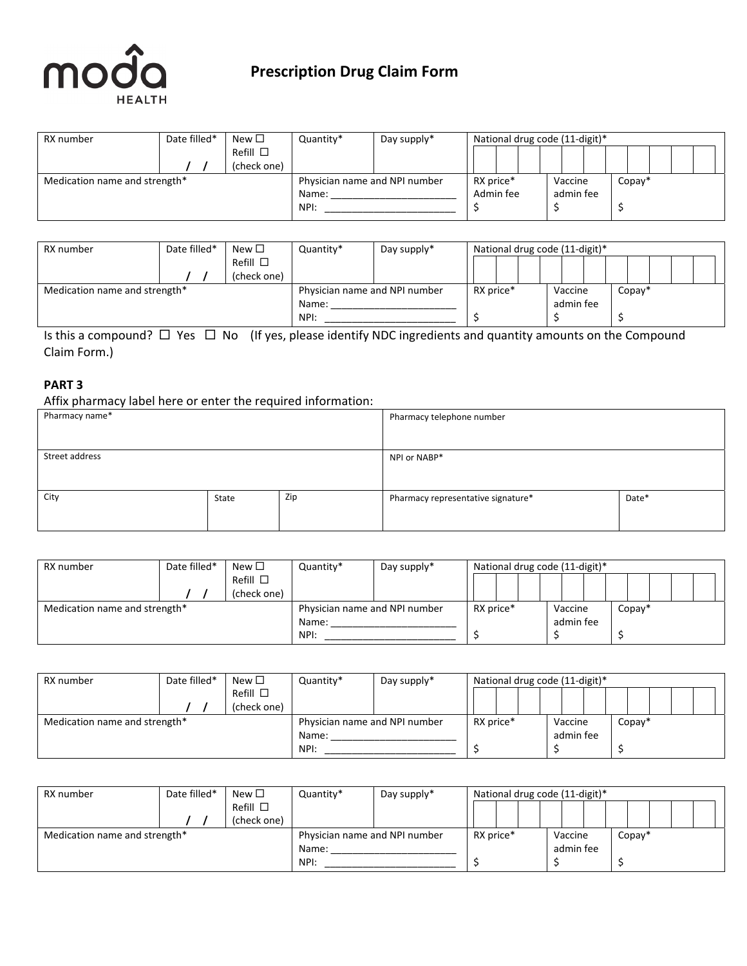

# **Prescription Drug Claim Form**

| RX number                     | Date filled* | New $\Box$         | Quantity*                     | Day supply* |                      |  | National drug code (11-digit)* |  |           |         |  |  |  |
|-------------------------------|--------------|--------------------|-------------------------------|-------------|----------------------|--|--------------------------------|--|-----------|---------|--|--|--|
|                               |              | $Refill$ $\square$ |                               |             |                      |  |                                |  |           |         |  |  |  |
|                               |              | (check one)        |                               |             |                      |  |                                |  |           |         |  |  |  |
| Medication name and strength* |              |                    | Physician name and NPI number |             | RX price*<br>Vaccine |  |                                |  |           | $Copy*$ |  |  |  |
|                               |              |                    | Name:                         |             | Admin fee            |  |                                |  | admin fee |         |  |  |  |
|                               |              |                    | NPI:                          |             |                      |  |                                |  |           |         |  |  |  |

| RX number                     | Date filled* | New $\Box$       | Quantity*                     | Day supply* | National drug code (11-digit)* |         |        |
|-------------------------------|--------------|------------------|-------------------------------|-------------|--------------------------------|---------|--------|
|                               |              | Refill $\square$ |                               |             |                                |         |        |
|                               |              | (check one)      |                               |             |                                |         |        |
| Medication name and strength* |              |                  | Physician name and NPI number |             | RX price*                      | Vaccine | Copay* |
|                               |              |                  | Name:                         |             | admin fee                      |         |        |
|                               |              |                  | NPI:                          |             |                                |         |        |

Is this a compound?  $\Box$  Yes  $\Box$  No (If yes, please identify NDC ingredients and quantity amounts on the Compound Claim Form.)

## **PART 3**

Affix pharmacy label here or enter the required information:

| Pharmacy name* |       |     | Pharmacy telephone number          |       |
|----------------|-------|-----|------------------------------------|-------|
|                |       |     |                                    |       |
| Street address |       |     | NPI or NABP*                       |       |
|                |       |     |                                    |       |
| City           | State | Zip | Pharmacy representative signature* | Date* |
|                |       |     |                                    |       |
|                |       |     |                                    |       |

| RX number                     | Date filled* | New $\Box$         | Quantity*                     | Day supply* |  |           | National drug code (11-digit)* |           |  |         |  |  |
|-------------------------------|--------------|--------------------|-------------------------------|-------------|--|-----------|--------------------------------|-----------|--|---------|--|--|
|                               |              | $Refill$ $\square$ |                               |             |  |           |                                |           |  |         |  |  |
|                               | (check one)  |                    |                               |             |  |           |                                |           |  |         |  |  |
| Medication name and strength* |              |                    | Physician name and NPI number |             |  | RX price* |                                | Vaccine   |  | $Copy*$ |  |  |
|                               |              |                    | Name:                         |             |  |           |                                | admin fee |  |         |  |  |
|                               |              |                    | NPI:                          |             |  |           |                                |           |  |         |  |  |
|                               |              |                    |                               |             |  |           |                                |           |  |         |  |  |

| RX number                     | Date filled* | New $\Box$         | Quantity*                     | Day supply* |  |  | National drug code (11-digit)* |           |  |  |         |  |  |  |
|-------------------------------|--------------|--------------------|-------------------------------|-------------|--|--|--------------------------------|-----------|--|--|---------|--|--|--|
|                               |              | $Refill$ $\square$ |                               |             |  |  |                                |           |  |  |         |  |  |  |
|                               |              | (check one)        |                               |             |  |  |                                |           |  |  |         |  |  |  |
| Medication name and strength* |              |                    | Physician name and NPI number | RX price*   |  |  |                                | Vaccine   |  |  | $Copy*$ |  |  |  |
|                               |              |                    | Name:                         |             |  |  |                                | admin fee |  |  |         |  |  |  |
|                               |              |                    | NPI:                          |             |  |  |                                |           |  |  |         |  |  |  |

| RX number                     | Date filled* | New $\Box$         | Quantity*                     | Day supply* |  |  | National drug code (11-digit)* |           |         |  |  |  |
|-------------------------------|--------------|--------------------|-------------------------------|-------------|--|--|--------------------------------|-----------|---------|--|--|--|
|                               |              | $Refill$ $\square$ |                               |             |  |  |                                |           |         |  |  |  |
|                               |              | (check one)        |                               |             |  |  |                                |           |         |  |  |  |
| Medication name and strength* |              |                    | Physician name and NPI number | RX price*   |  |  | Vaccine                        |           | $Copy*$ |  |  |  |
|                               |              |                    | Name:                         |             |  |  |                                | admin fee |         |  |  |  |
|                               |              |                    | NPI:                          |             |  |  |                                |           |         |  |  |  |